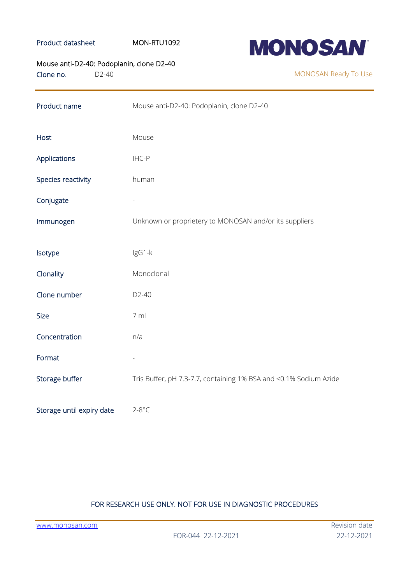## Product datasheet MON-RTU1092



Mouse anti-D2-40: Podoplanin, clone D2-40

Clone no. D2-40

MONOSAN Ready To Use

| Product name              | Mouse anti-D2-40: Podoplanin, clone D2-40                         |
|---------------------------|-------------------------------------------------------------------|
| Host                      | Mouse                                                             |
| Applications              | IHC-P                                                             |
| Species reactivity        | human                                                             |
| Conjugate                 |                                                                   |
| Immunogen                 | Unknown or proprietery to MONOSAN and/or its suppliers            |
| Isotype                   | IgG1-k                                                            |
| Clonality                 | Monoclonal                                                        |
| Clone number              | $D2-40$                                                           |
| <b>Size</b>               | 7 ml                                                              |
| Concentration             | n/a                                                               |
| Format                    |                                                                   |
| Storage buffer            | Tris Buffer, pH 7.3-7.7, containing 1% BSA and <0.1% Sodium Azide |
| Storage until expiry date | $2-8$ °C                                                          |

# FOR RESEARCH USE ONLY. NOT FOR USE IN DIAGNOSTIC PROCEDURES

[www.monosan.com](http://www.monosan.com/) Revision date